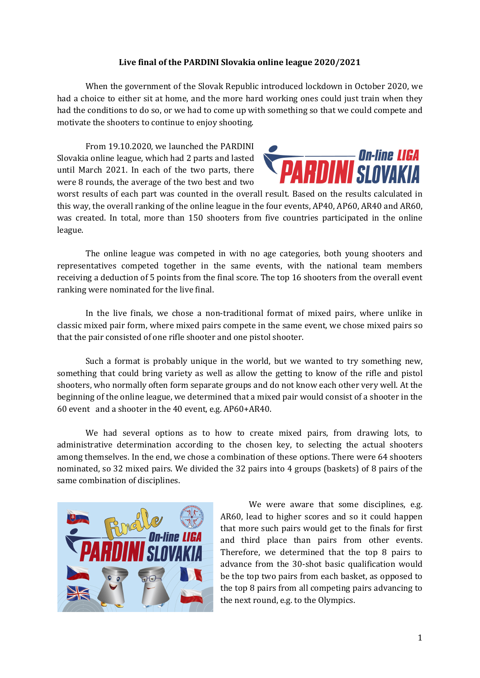## Live final of the PARDINI Slovakia online league 2020/2021

When the government of the Slovak Republic introduced lockdown in October 2020, we had a choice to either sit at home, and the more hard working ones could just train when they had the conditions to do so, or we had to come up with something so that we could compete and motivate the shooters to continue to enjoy shooting.

From 19.10.2020, we launched the PARDINI Slovakia online league, which had 2 parts and lasted until March 2021. In each of the two parts, there were 8 rounds, the average of the two best and two



worst results of each part was counted in the overall result. Based on the results calculated in this way, the overall ranking of the online league in the four events, AP40, AP60, AR40 and AR60, was created. In total, more than 150 shooters from five countries participated in the online league.

The online league was competed in with no age categories, both young shooters and representatives competed together in the same events, with the national team members receiving a deduction of 5 points from the final score. The top 16 shooters from the overall event ranking were nominated for the live final.

In the live finals, we chose a non-traditional format of mixed pairs, where unlike in classic mixed pair form, where mixed pairs compete in the same event, we chose mixed pairs so that the pair consisted of one rifle shooter and one pistol shooter.

Such a format is probably unique in the world, but we wanted to try something new, something that could bring variety as well as allow the getting to know of the rifle and pistol shooters, who normally often form separate groups and do not know each other very well. At the beginning of the online league, we determined that a mixed pair would consist of a shooter in the 60 event and a shooter in the 40 event, e.g. AP60+AR40.

We had several options as to how to create mixed pairs, from drawing lots, to administrative determination according to the chosen key, to selecting the actual shooters among themselves. In the end, we chose a combination of these options. There were 64 shooters nominated, so 32 mixed pairs. We divided the 32 pairs into 4 groups (baskets) of 8 pairs of the same combination of disciplines.



We were aware that some disciplines, e.g. AR60, lead to higher scores and so it could happen that more such pairs would get to the finals for first and third place than pairs from other events. Therefore, we determined that the top 8 pairs to advance from the 30-shot basic qualification would be the top two pairs from each basket, as opposed to the top 8 pairs from all competing pairs advancing to the next round, e.g. to the Olympics.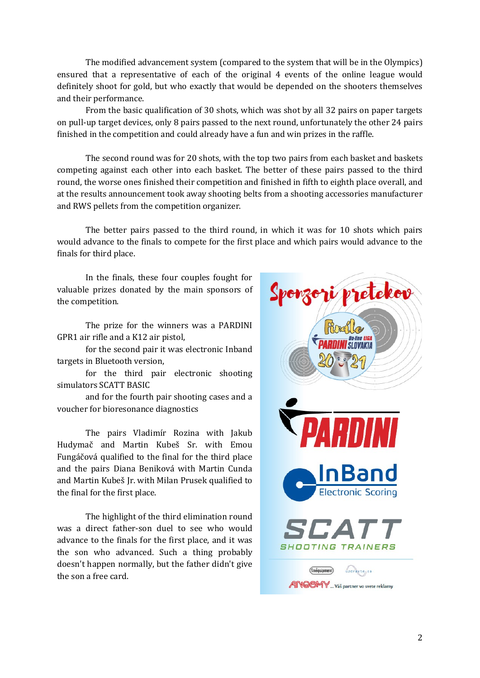The modified advancement system (compared to the system that will be in the Olympics) ensured that a representative of each of the original 4 events of the online league would definitely shoot for gold, but who exactly that would be depended on the shooters themselves and their performance.

From the basic qualification of 30 shots, which was shot by all 32 pairs on paper targets on pull-up target devices, only 8 pairs passed to the next round, unfortunately the other 24 pairs finished in the competition and could already have a fun and win prizes in the raffle.

The second round was for 20 shots, with the top two pairs from each basket and baskets competing against each other into each basket. The better of these pairs passed to the third round, the worse ones finished their competition and finished in fifth to eighth place overall, and at the results announcement took away shooting belts from a shooting accessories manufacturer and RWS pellets from the competition organizer.

The better pairs passed to the third round, in which it was for 10 shots which pairs would advance to the finals to compete for the first place and which pairs would advance to the finals for third place.

In the finals, these four couples fought for valuable prizes donated by the main sponsors of the competition.

The prize for the winners was a PARDINI GPR1 air rifle and a K12 air pistol,

for the second pair it was electronic Inband targets in Bluetooth version,

for the third pair electronic shooting simulators SCATT BASIC

and for the fourth pair shooting cases and a voucher for bioresonance diagnostics

The pairs Vladimír Rozina with Jakub Hudymač and Martin Kubeš Sr. with Emou Fungáčová qualified to the final for the third place and the pairs Diana Beniková with Martin Cunda and Martin Kubeš Jr. with Milan Prusek qualified to the final for the first place.

The highlight of the third elimination round was a direct father-son duel to see who would advance to the finals for the first place, and it was the son who advanced. Such a thing probably doesn't happen normally, but the father didn't give the son a free card.

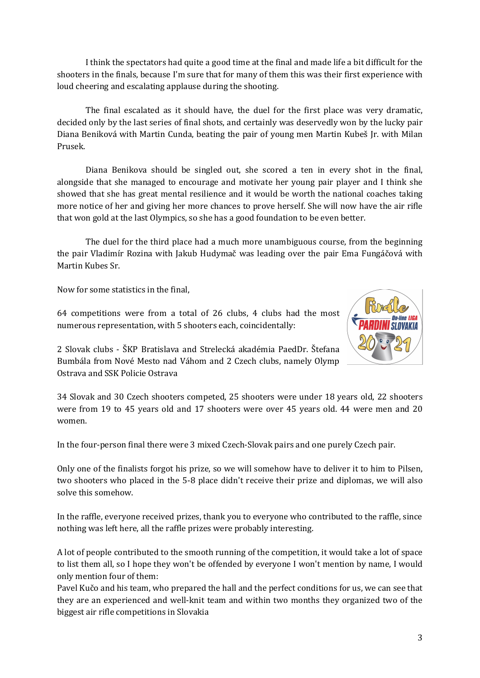I think the spectators had quite a good time at the final and made life a bit difficult for the shooters in the finals, because I'm sure that for many of them this was their first experience with loud cheering and escalating applause during the shooting.

The final escalated as it should have, the duel for the first place was very dramatic, decided only by the last series of final shots, and certainly was deservedly won by the lucky pair Diana Beniková with Martin Cunda, beating the pair of young men Martin Kubeš Jr. with Milan Prusek.

Diana Benikova should be singled out, she scored a ten in every shot in the final, alongside that she managed to encourage and motivate her young pair player and I think she showed that she has great mental resilience and it would be worth the national coaches taking more notice of her and giving her more chances to prove herself. She will now have the air rifle that won gold at the last Olympics, so she has a good foundation to be even better.

The duel for the third place had a much more unambiguous course, from the beginning the pair Vladimír Rozina with Jakub Hudymač was leading over the pair Ema Fungáčová with Martin Kubes Sr.

Now for some statistics in the final,

64 competitions were from a total of 26 clubs, 4 clubs had the most numerous representation, with 5 shooters each, coincidentally:



2 Slovak clubs - ŠKP Bratislava and Strelecká akadémia PaedDr. Štefana Bumbála from Nové Mesto nad Váhom and 2 Czech clubs, namely Olymp Ostrava and SSK Policie Ostrava

34 Slovak and 30 Czech shooters competed, 25 shooters were under 18 years old, 22 shooters were from 19 to 45 years old and 17 shooters were over 45 years old. 44 were men and 20 women.

In the four-person final there were 3 mixed Czech-Slovak pairs and one purely Czech pair.

Only one of the finalists forgot his prize, so we will somehow have to deliver it to him to Pilsen, two shooters who placed in the 5-8 place didn't receive their prize and diplomas, we will also solve this somehow.

In the raffle, everyone received prizes, thank you to everyone who contributed to the raffle, since nothing was left here, all the raffle prizes were probably interesting.

A lot of people contributed to the smooth running of the competition, it would take a lot of space to list them all, so I hope they won't be offended by everyone I won't mention by name, I would only mention four of them:

Pavel Kučo and his team, who prepared the hall and the perfect conditions for us, we can see that they are an experienced and well-knit team and within two months they organized two of the biggest air rifle competitions in Slovakia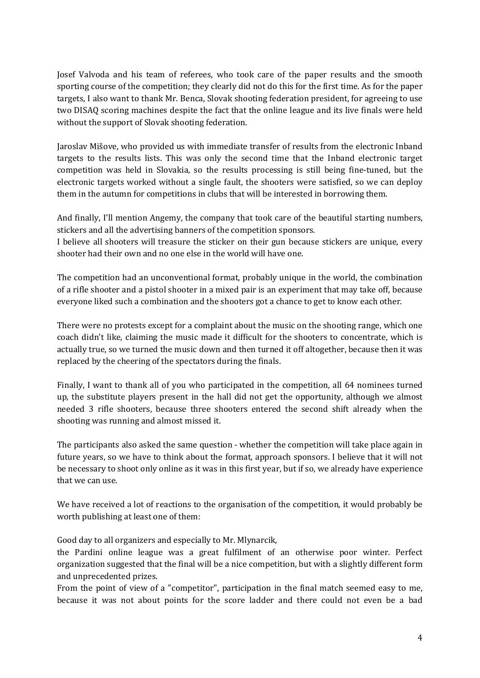Josef Valvoda and his team of referees, who took care of the paper results and the smooth sporting course of the competition; they clearly did not do this for the first time. As for the paper targets, I also want to thank Mr. Benca, Slovak shooting federation president, for agreeing to use two DISAQ scoring machines despite the fact that the online league and its live finals were held without the support of Slovak shooting federation.

Jaroslav Mišove, who provided us with immediate transfer of results from the electronic Inband targets to the results lists. This was only the second time that the Inband electronic target competition was held in Slovakia, so the results processing is still being fine-tuned, but the electronic targets worked without a single fault, the shooters were satisfied, so we can deploy them in the autumn for competitions in clubs that will be interested in borrowing them.

And finally, I'll mention Angemy, the company that took care of the beautiful starting numbers, stickers and all the advertising banners of the competition sponsors.

I believe all shooters will treasure the sticker on their gun because stickers are unique, every shooter had their own and no one else in the world will have one.

The competition had an unconventional format, probably unique in the world, the combination of a rifle shooter and a pistol shooter in a mixed pair is an experiment that may take off, because everyone liked such a combination and the shooters got a chance to get to know each other.

There were no protests except for a complaint about the music on the shooting range, which one coach didn't like, claiming the music made it difficult for the shooters to concentrate, which is actually true, so we turned the music down and then turned it off altogether, because then it was replaced by the cheering of the spectators during the finals.

Finally, I want to thank all of you who participated in the competition, all 64 nominees turned up, the substitute players present in the hall did not get the opportunity, although we almost needed 3 rifle shooters, because three shooters entered the second shift already when the shooting was running and almost missed it.

The participants also asked the same question - whether the competition will take place again in future years, so we have to think about the format, approach sponsors. I believe that it will not be necessary to shoot only online as it was in this first year, but if so, we already have experience that we can use.

We have received a lot of reactions to the organisation of the competition, it would probably be worth publishing at least one of them:

Good day to all organizers and especially to Mr. Mlynarcik,

the Pardini online league was a great fulfilment of an otherwise poor winter. Perfect organization suggested that the final will be a nice competition, but with a slightly different form and unprecedented prizes.

From the point of view of a "competitor", participation in the final match seemed easy to me, because it was not about points for the score ladder and there could not even be a bad